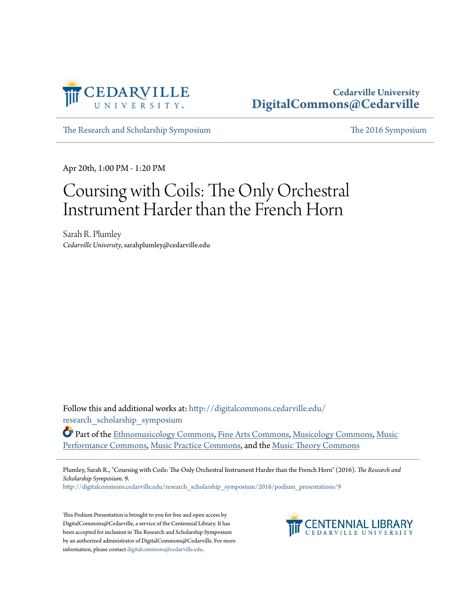

#### **Cedarville University [DigitalCommons@Cedarville](http://digitalcommons.cedarville.edu?utm_source=digitalcommons.cedarville.edu%2Fresearch_scholarship_symposium%2F2016%2Fpodium_presentations%2F9&utm_medium=PDF&utm_campaign=PDFCoverPages)**

[The Research and Scholarship Symposium](http://digitalcommons.cedarville.edu/research_scholarship_symposium?utm_source=digitalcommons.cedarville.edu%2Fresearch_scholarship_symposium%2F2016%2Fpodium_presentations%2F9&utm_medium=PDF&utm_campaign=PDFCoverPages) [The 2016 Symposium](http://digitalcommons.cedarville.edu/research_scholarship_symposium/2016?utm_source=digitalcommons.cedarville.edu%2Fresearch_scholarship_symposium%2F2016%2Fpodium_presentations%2F9&utm_medium=PDF&utm_campaign=PDFCoverPages)

Apr 20th, 1:00 PM - 1:20 PM

# Coursing with Coils: The Only Orchestral Instrument Harder than the French Horn

Sarah R. Plumley *Cedarville University*, sarahplumley@cedarville.edu

Follow this and additional works at: [http://digitalcommons.cedarville.edu/](http://digitalcommons.cedarville.edu/research_scholarship_symposium?utm_source=digitalcommons.cedarville.edu%2Fresearch_scholarship_symposium%2F2016%2Fpodium_presentations%2F9&utm_medium=PDF&utm_campaign=PDFCoverPages) [research\\_scholarship\\_symposium](http://digitalcommons.cedarville.edu/research_scholarship_symposium?utm_source=digitalcommons.cedarville.edu%2Fresearch_scholarship_symposium%2F2016%2Fpodium_presentations%2F9&utm_medium=PDF&utm_campaign=PDFCoverPages)

Part of the [Ethnomusicology Commons,](http://network.bepress.com/hgg/discipline/520?utm_source=digitalcommons.cedarville.edu%2Fresearch_scholarship_symposium%2F2016%2Fpodium_presentations%2F9&utm_medium=PDF&utm_campaign=PDFCoverPages) [Fine Arts Commons,](http://network.bepress.com/hgg/discipline/1141?utm_source=digitalcommons.cedarville.edu%2Fresearch_scholarship_symposium%2F2016%2Fpodium_presentations%2F9&utm_medium=PDF&utm_campaign=PDFCoverPages) [Musicology Commons,](http://network.bepress.com/hgg/discipline/521?utm_source=digitalcommons.cedarville.edu%2Fresearch_scholarship_symposium%2F2016%2Fpodium_presentations%2F9&utm_medium=PDF&utm_campaign=PDFCoverPages) [Music](http://network.bepress.com/hgg/discipline/1128?utm_source=digitalcommons.cedarville.edu%2Fresearch_scholarship_symposium%2F2016%2Fpodium_presentations%2F9&utm_medium=PDF&utm_campaign=PDFCoverPages) [Performance Commons,](http://network.bepress.com/hgg/discipline/1128?utm_source=digitalcommons.cedarville.edu%2Fresearch_scholarship_symposium%2F2016%2Fpodium_presentations%2F9&utm_medium=PDF&utm_campaign=PDFCoverPages) [Music Practice Commons,](http://network.bepress.com/hgg/discipline/523?utm_source=digitalcommons.cedarville.edu%2Fresearch_scholarship_symposium%2F2016%2Fpodium_presentations%2F9&utm_medium=PDF&utm_campaign=PDFCoverPages) and the [Music Theory Commons](http://network.bepress.com/hgg/discipline/522?utm_source=digitalcommons.cedarville.edu%2Fresearch_scholarship_symposium%2F2016%2Fpodium_presentations%2F9&utm_medium=PDF&utm_campaign=PDFCoverPages)

Plumley, Sarah R., "Coursing with Coils: The Only Orchestral Instrument Harder than the French Horn" (2016). *The Research and Scholarship Symposium*. 9.

[http://digitalcommons.cedarville.edu/research\\_scholarship\\_symposium/2016/podium\\_presentations/9](http://digitalcommons.cedarville.edu/research_scholarship_symposium/2016/podium_presentations/9?utm_source=digitalcommons.cedarville.edu%2Fresearch_scholarship_symposium%2F2016%2Fpodium_presentations%2F9&utm_medium=PDF&utm_campaign=PDFCoverPages)

This Podium Presentation is brought to you for free and open access by DigitalCommons@Cedarville, a service of the Centennial Library. It has been accepted for inclusion in The Research and Scholarship Symposium by an authorized administrator of DigitalCommons@Cedarville. For more information, please contact [digitalcommons@cedarville.edu.](mailto:digitalcommons@cedarville.edu)

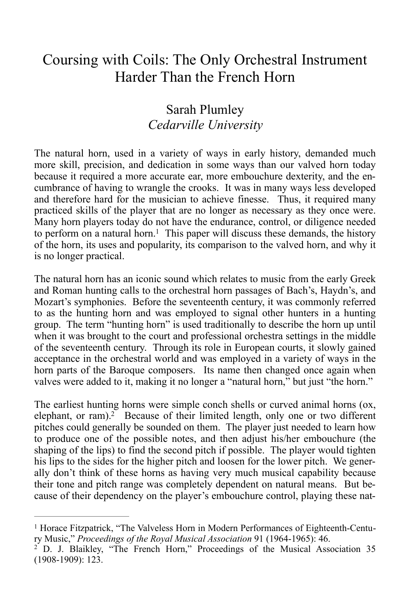## Coursing with Coils: The Only Orchestral Instrument Harder Than the French Horn

#### Sarah Plumley *Cedarville University*

The natural horn, used in a variety of ways in early history, demanded much more skill, precision, and dedication in some ways than our valved horn today because it required a more accurate ear, more embouchure dexterity, and the encumbrance of having to wrangle the crooks. It was in many ways less developed and therefore hard for the musician to achieve finesse. Thus, it required many practiced skills of the player that are no longer as necessary as they once were. Many horn players today do not have the endurance, control, or diligence needed to perform on a natural horn.<sup>[1](#page-1-0)</sup> This paper will discuss these demands, the history of the horn, its uses and popularity, its comparison to the valved horn, and why it is no longer practical.

<span id="page-1-2"></span>The natural horn has an iconic sound which relates to music from the early Greek and Roman hunting calls to the orchestral horn passages of Bach's, Haydn's, and Mozart's symphonies. Before the seventeenth century, it was commonly referred to as the hunting horn and was employed to signal other hunters in a hunting group. The term "hunting horn" is used traditionally to describe the horn up until when it was brought to the court and professional orchestra settings in the middle of the seventeenth century. Through its role in European courts, it slowly gained acceptance in the orchestral world and was employed in a variety of ways in the horn parts of the Baroque composers. Its name then changed once again when valves were added to it, making it no longer a "natural horn," but just "the horn."

<span id="page-1-3"></span>The earliest hunting horns were simple conch shells or curved animal horns (ox, elephant, or ram).<sup>[2](#page-1-1)</sup> Because of their limited length, only one or two different pitches could generally be sounded on them. The player just needed to learn how to produce one of the possible notes, and then adjust his/her embouchure (the shaping of the lips) to find the second pitch if possible. The player would tighten his lips to the sides for the higher pitch and loosen for the lower pitch. We generally don't think of these horns as having very much musical capability because their tone and pitch range was completely dependent on natural means. But because of their dependency on the player's embouchure control, playing these nat-

<span id="page-1-0"></span> $<sup>1</sup>$  $<sup>1</sup>$  $<sup>1</sup>$  Horace Fitzpatrick, "The Valveless Horn in Modern Performances of Eighteenth-Centu-</sup> ry Music," *Proceedings of the Royal Musical Association* 91 (1964-1965): 46.

<span id="page-1-1"></span><sup>&</sup>lt;sup>[2](#page-1-3)</sup> D. J. Blaikley, "The French Horn," Proceedings of the Musical Association 35 (1908-1909): 123.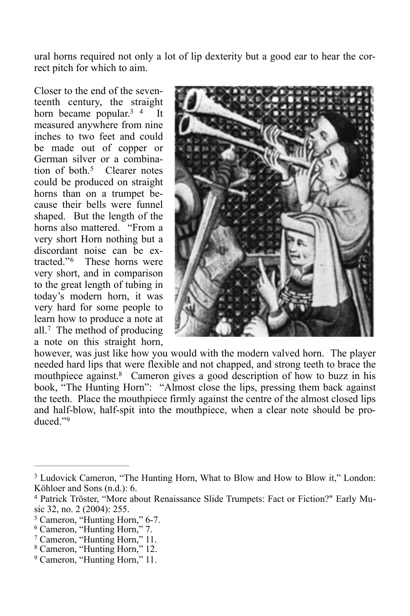ural horns required not only a lot of lip dexterity but a good ear to hear the correct pitch for which to aim.

<span id="page-2-9"></span>Closer to the end of the seventeenth century, the straight horn became popular[.](#page-2-0)<sup>[3](#page-2-0)</sup>  $\frac{4}{1}$  It measured anywhere from nine inches to two feet and could be made out of copper or German silver or a combination of both  $5$  Clearer notes could be produced on straight horns than on a trumpet because their bells were funnel shaped. But the length of the horns also mattered. "From a very short Horn nothing but a discordant noise can be ex-tracted."<sup>[6](#page-2-3)</sup> These horns were very short, and in comparison to the great length of tubing in today's modern horn, it was very hard for some people to learn how to produce a note at all.<sup>[7](#page-2-4)</sup> The method of producing a note on this straight horn,

<span id="page-2-8"></span><span id="page-2-7"></span>

<span id="page-2-12"></span><span id="page-2-11"></span><span id="page-2-10"></span>however, was just like how you would with the modern valved horn. The player needed hard lips that were flexible and not chapped, and strong teeth to brace the mouthpiece against.<sup>[8](#page-2-5)</sup> Cameron gives a good description of how to buzz in his book, "The Hunting Horn": "Almost close the lips, pressing them back against the teeth. Place the mouthpiece firmly against the centre of the almost closed lips and half-blow, half-spit into the mouthpiece, when a clear note should be pro-duced<sup>"[9](#page-2-6)</sup>

<span id="page-2-13"></span><span id="page-2-0"></span><sup>&</sup>lt;sup>[3](#page-2-7)</sup> Ludovick Cameron, "The Hunting Horn, What to Blow and How to Blow it," London: Köhloer and Sons (n.d.): 6.

<span id="page-2-1"></span><sup>&</sup>lt;sup>[4](#page-2-8)</sup> Patrick Tröster, "More about Renaissance Slide Trumpets: Fact or Fiction?" Early Music 32, no. 2 (2004): 255.

<span id="page-2-2"></span><sup>&</sup>lt;sup>[5](#page-2-9)</sup> Cameron, "Hunting Horn," 6-7.

<sup>&</sup>lt;sup>[6](#page-2-10)</sup> Cameron, "Hunting Horn," 7.

<span id="page-2-3"></span><sup>&</sup>lt;sup>[7](#page-2-11)</sup> Cameron, "Hunting Horn," 11.

<span id="page-2-5"></span><span id="page-2-4"></span><sup>&</sup>lt;sup>[8](#page-2-12)</sup> Cameron, "Hunting Horn," 12.

<span id="page-2-6"></span><sup>&</sup>lt;sup>[9](#page-2-13)</sup> Cameron, "Hunting Horn," 11.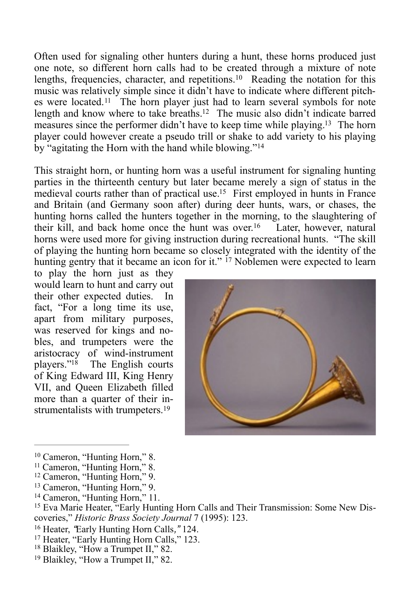<span id="page-3-11"></span><span id="page-3-10"></span>Often used for signaling other hunters during a hunt, these horns produced just one note, so different horn calls had to be created through a mixture of note lengths, frequencies, character, and repetitions. $10$  Reading the notation for this music was relatively simple since it didn't have to indicate where different pitch-eswere located.<sup>[11](#page-3-1)</sup> The horn player just had to learn several symbols for note length and know where to take breaths.<sup>[12](#page-3-2)</sup> The music also didn't indicate barred measures since the performer didn't have to keep time while playing.<sup>[13](#page-3-3)</sup> The horn player could however create a pseudo trill or shake to add variety to his playing by "agitating the Horn with the hand while blowing."[14](#page-3-4)

<span id="page-3-15"></span><span id="page-3-14"></span><span id="page-3-13"></span><span id="page-3-12"></span>This straight horn, or hunting horn was a useful instrument for signaling hunting parties in the thirteenth century but later became merely a sign of status in the medieval courts rather than of practical use.<sup>[15](#page-3-5)</sup> First employed in hunts in France and Britain (and Germany soon after) during deer hunts, wars, or chases, the hunting horns called the hunters together in the morning, to the slaughtering of their kill, and back home once the hunt was over.<sup>[16](#page-3-6)</sup> Later, however, natural horns were used more for giving instruction during recreational hunts. "The skill of playing the hunting horn became so closely integrated with the identity of the hunting gentry that it became an icon for it." <sup>17</sup> Noblemen were expected to learn

<span id="page-3-16"></span>to play the horn just as they would learn to hunt and carry out their other expected duties. In fact, "For a long time its use, apart from military purposes, was reserved for kings and nobles, and trumpeters were the aristocracy of wind-instrument players." $18$  The English courts of King Edward III, King Henry VII, and Queen Elizabeth filled more than a quarter of their in-strumentalists with trumpeters.<sup>[19](#page-3-9)</sup>

<span id="page-3-18"></span><span id="page-3-17"></span>

<sup>&</sup>lt;sup>[10](#page-3-10)</sup> Cameron, "Hunting Horn," 8.

<span id="page-3-3"></span><sup>[13](#page-3-13)</sup> Cameron, "Hunting Horn," 9.

- <sup>[17](#page-3-17)</sup> Heater, "Early Hunting Horn Calls," 123.
- <span id="page-3-8"></span><span id="page-3-7"></span><sup>[18](#page-3-18)</sup> Blaikley, "How a Trumpet II," 82.
- <span id="page-3-9"></span><sup>[19](#page-3-19)</sup> Blaikley, "How a Trumpet II," 82.

<span id="page-3-19"></span><span id="page-3-1"></span><span id="page-3-0"></span><sup>&</sup>lt;sup>[11](#page-3-11)</sup> Cameron, "Hunting Horn," 8.

<span id="page-3-2"></span><sup>&</sup>lt;sup>[12](#page-3-12)</sup> Cameron, "Hunting Horn," 9.

<span id="page-3-4"></span><sup>&</sup>lt;sup>[14](#page-3-14)</sup> Cameron, "Hunting Horn," 11.

<span id="page-3-5"></span><sup>&</sup>lt;sup>[15](#page-3-15)</sup> Eva Marie Heater, "Early Hunting Horn Calls and Their Transmission: Some New Discoveries," *Historic Brass Society Journal* 7 (1995): 123.

<span id="page-3-6"></span><sup>&</sup>lt;sup>[16](#page-3-16)</sup> Heater, "Early Hunting Horn Calls," 124.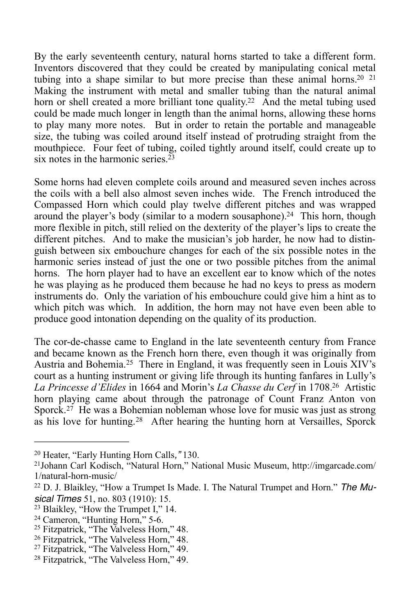<span id="page-4-11"></span><span id="page-4-10"></span><span id="page-4-9"></span>By the early seventeenth century, natural horns started to take a different form. Inventors discovered that they could be created by manipulating conical metal tubing into a shape similar to but more precise than these animal horns.<sup>20 [21](#page-4-1)</sup> Making the instrument with metal and smaller tubing than the natural animal horn or shell created a more brilliant tone quality[.](#page-4-2)<sup>[22](#page-4-2)</sup> And the metal tubing used could be made much longer in length than the animal horns, allowing these horns to play many more notes. But in order to retain the portable and manageable size, the tubing was coiled around itself instead of protruding straight from the mouthpiece. Four feet of tubing, coiled tightly around itself, could create up to six notes in the harmonic series  $23$ 

<span id="page-4-13"></span><span id="page-4-12"></span>Some horns had eleven complete coils around and measured seven inches across the coils with a bell also almost seven inches wide. The French introduced the Compassed Horn which could play twelve different pitches and was wrapped around the player's body (similar to a modern sousaphone).<sup>[24](#page-4-4)</sup> This horn, though more flexible in pitch, still relied on the dexterity of the player's lips to create the different pitches. And to make the musician's job harder, he now had to distinguish between six embouchure changes for each of the six possible notes in the harmonic series instead of just the one or two possible pitches from the animal horns. The horn player had to have an excellent ear to know which of the notes he was playing as he produced them because he had no keys to press as modern instruments do. Only the variation of his embouchure could give him a hint as to which pitch was which. In addition, the horn may not have even been able to produce good intonation depending on the quality of its production.

<span id="page-4-15"></span><span id="page-4-14"></span>The cor-de-chasse came to England in the late seventeenth century from France and became known as the French horn there, even though it was originally from Austria and Bohemia.<sup>[25](#page-4-5)</sup> There in England, it was frequently seen in Louis XIV's court as a hunting instrument or giving life through its hunting fanfares in Lully's La Princesse d'Elides in 1664 and Morin's *La Chasse du Cerf* in 1708.<sup>[26](#page-4-6)</sup> Artistic horn playing came about through the patronage of Count Franz Anton von Sporck.<sup>[27](#page-4-7)</sup> He was a Bohemian nobleman whose love for music was just as strong as his love for hunting.<sup>[28](#page-4-8)</sup> After hearing the hunting horn at Versailles, Sporck

<span id="page-4-17"></span><span id="page-4-16"></span><span id="page-4-0"></span><sup>&</sup>lt;sup>[20](#page-4-9)</sup> Heater, "Early Hunting Horn Calls," 130.

<span id="page-4-1"></span>[Johann Carl Kodisch, "Natural Horn," National Music Museum, http://imgarcade.com/](http://imgarcade.com/1/natural-horn-music/) [21](#page-4-10) 1/natural-horn-music/

<span id="page-4-2"></span><sup>&</sup>lt;sup>[22](#page-4-11)</sup> D. J. Blaikley, "How a Trumpet Is Made. I. The Natural Trumpet and Horn." *The Musical Times* 51, no. 803 (1910): 15.

<sup>&</sup>lt;sup>[23](#page-4-12)</sup> Blaikley, "How the Trumpet I," 14.

<span id="page-4-4"></span><span id="page-4-3"></span><sup>&</sup>lt;sup>[24](#page-4-13)</sup> Cameron, "Hunting Horn," 5-6.

<span id="page-4-5"></span><sup>&</sup>lt;sup>[25](#page-4-14)</sup> Fitzpatrick, "The Valveless Horn," 48.

<span id="page-4-6"></span><sup>&</sup>lt;sup>26</sup>Fitzpatrick, "The Valveless Horn," 48.

<span id="page-4-7"></span><sup>&</sup>lt;sup>27</sup>Fitzpatrick, "The Valveless Horn," 49.

<span id="page-4-8"></span><sup>&</sup>lt;sup>28</sup>Fitzpatrick, "The Valveless Horn," 49.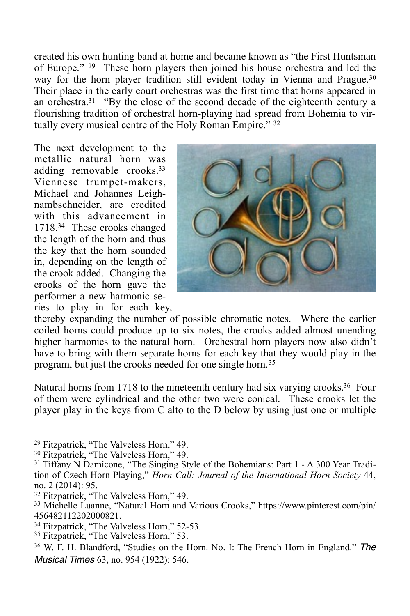<span id="page-5-8"></span>created his own hunting band at home and became known as "the First Huntsman of Europe." <sup>[29](#page-5-0)</sup> These horn players then joined his house orchestra and led the way for the horn player tradition still evident today in Vienna and Prague.<sup>[30](#page-5-1)</sup> Their place in the early court orchestras was the first time that horns appeared in an orchestra.<sup>[31](#page-5-2)</sup> "By the close of the second decade of the eighteenth century a flourishing tradition of orchestral horn-playing had spread from Bohemia to vir-tually every musical centre of the Holy Roman Empire." [32](#page-5-3)

<span id="page-5-13"></span><span id="page-5-10"></span>The next development to the metallic natural horn was adding removable crooks[.33](#page-5-4) Viennese trumpet-makers, Michael and Johannes Leighnambschneider, are credited with this advancement in 1718<sup>[34](#page-5-5)</sup> These crooks changed the length of the horn and thus the key that the horn sounded in, depending on the length of the crook added. Changing the crooks of the horn gave the performer a new harmonic series to play in for each key,

<span id="page-5-15"></span><span id="page-5-12"></span><span id="page-5-11"></span><span id="page-5-9"></span>

thereby expanding the number of possible chromatic notes. Where the earlier coiled horns could produce up to six notes, the crooks added almost unending higher harmonics to the natural horn. Orchestral horn players now also didn't have to bring with them separate horns for each key that they would play in the program, but just the crooks needed for one single horn.[35](#page-5-6)

<span id="page-5-14"></span>Natural horns from 1718 to the nineteenth century had six varying crooks.<sup>[36](#page-5-7)</sup> Four of them were cylindrical and the other two were conical. These crooks let the player play in the keys from C alto to the D below by using just one or multiple

<span id="page-5-0"></span><sup>&</sup>lt;sup>29</sup>Fitzpatrick, "The Valveless Horn," 49.

<span id="page-5-1"></span><sup>&</sup>lt;sup>30</sup>Fitzpatrick, "The Valveless Horn," 49.

<span id="page-5-2"></span> $31$  Tiffany N Damicone, "The Singing Style of the Bohemians: Part 1 - A 300 Year Tradition of Czech Horn Playing," *Horn Call: Journal of the International Horn Society* 44, no. 2 (2014): 95.

<span id="page-5-3"></span><sup>&</sup>lt;sup>32</sup>Fitzpatrick, "The Valveless Horn," 49.

<span id="page-5-4"></span><sup>&</sup>lt;sup>[33](#page-5-12)</sup> Michelle Luanne, "Natural Horn and Various Crooks," https://www.pinterest.com/pin/ 456482112202000821.

<span id="page-5-5"></span><sup>&</sup>lt;sup>34</sup>Fitzpatrick, "The Valveless Horn," 52-53.

<span id="page-5-6"></span><sup>&</sup>lt;sup>35</sup>Fitzpatrick, "The Valveless Horn," 53.

<span id="page-5-7"></span>W. F. H. Blandford, "Studies on the Horn. No. I: The French Horn in England." *The* [36](#page-5-15) *Musical Times* 63, no. 954 (1922): 546.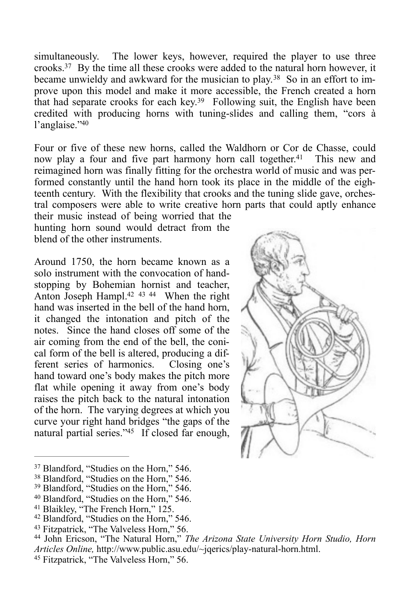<span id="page-6-9"></span>simultaneously. The lower keys, however, required the player to use three crooks[.](#page-6-0)<sup>[37](#page-6-0)</sup> By the time all these crooks were added to the natural horn however, it became unwieldy and awkward for the musician to play.<sup>38</sup> So in an effort to improve upon this model and make it more accessible, the French created a horn that had separate crooks for each key.<sup>[39](#page-6-2)</sup> Following suit, the English have been credited with producing horns with tuning-slides and calling them, "cors à l'anglaise.["40](#page-6-3)

<span id="page-6-12"></span>Four or five of these new horns, called the Waldhorn or Cor de Chasse, could now play a four and five part harmony horn call together[.](#page-6-4)<sup>[41](#page-6-4)</sup> This new and reimagined horn was finally fitting for the orchestra world of music and was performed constantly until the hand horn took its place in the middle of the eighteenth century. With the flexibility that crooks and the tuning slide gave, orchestral composers were able to write creative horn parts that could aptly enhance their music instead of being worried that the

hunting horn sound would detract from the blend of the other instruments.

<span id="page-6-15"></span><span id="page-6-14"></span>Around 1750, the horn became known as a solo instrument with the convocation of handstopping by Bohemian hornist and teacher. Anton Joseph Hampl[.](#page-6-5) $42 \frac{43}{44}$  $42 \frac{43}{44}$  When the right hand was inserted in the bell of the hand horn, it changed the intonation and pitch of the notes. Since the hand closes off some of the air coming from the end of the bell, the conical form of the bell is altered, producing a different series of harmonics. Closing one's hand toward one's body makes the pitch more flat while opening it away from one's body raises the pitch back to the natural intonation of the horn. The varying degrees at which you curve your right hand bridges "the gaps of the natural partial series.["](#page-6-8) $45$  If closed far enough,

<span id="page-6-16"></span><span id="page-6-13"></span><span id="page-6-11"></span><span id="page-6-10"></span>

<span id="page-6-2"></span><sup>[40](#page-6-12)</sup> Blandford, "Studies on the Horn," 546.

<span id="page-6-17"></span><span id="page-6-0"></span><sup>&</sup>lt;sup>[37](#page-6-9)</sup> Blandford, "Studies on the Horn," 546.

<sup>&</sup>lt;sup>[38](#page-6-10)</sup> Blandford, "Studies on the Horn," 546.

<span id="page-6-1"></span> $39$  Blandford, "Studies on the Horn," 546.

<span id="page-6-4"></span><span id="page-6-3"></span><sup>&</sup>lt;sup>[41](#page-6-13)</sup> Blaikley, "The French Horn," 125.

<sup>&</sup>lt;sup>[42](#page-6-14)</sup> Blandford, "Studies on the Horn," 546.

<span id="page-6-5"></span><sup>&</sup>lt;sup>[43](#page-6-15)</sup> Fitzpatrick, "The Valveless Horn," 56.

<span id="page-6-7"></span><span id="page-6-6"></span><sup>&</sup>lt;sup>[44](#page-6-16)</sup> John Ericson, "The Natural Horn," *The Arizona State University Horn Studio, Horn Articles Online,* http://www.public.asu.edu/~jqerics/play-natural-horn.html.

<span id="page-6-8"></span><sup>&</sup>lt;sup>[45](#page-6-17)</sup> Fitzpatrick, "The Valveless Horn," 56.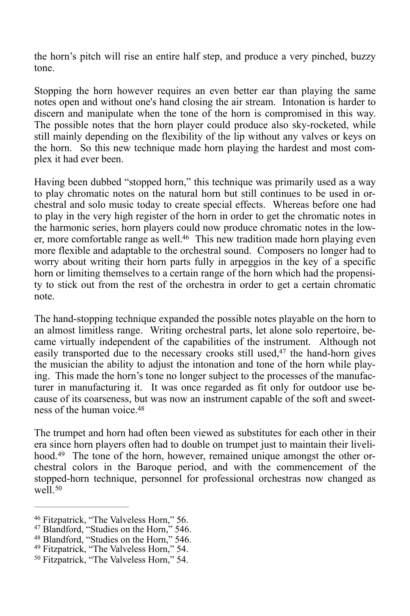the horn's pitch will rise an entire half step, and produce a very pinched, buzzy tone.

Stopping the horn however requires an even better ear than playing the same notes open and without one's hand closing the air stream. Intonation is harder to discern and manipulate when the tone of the horn is compromised in this way. The possible notes that the horn player could produce also sky-rocketed, while still mainly depending on the flexibility of the lip without any valves or keys on the horn. So this new technique made horn playing the hardest and most complex it had ever been.

<span id="page-7-5"></span>Having been dubbed "stopped horn," this technique was primarily used as a way to play chromatic notes on the natural horn but still continues to be used in orchestral and solo music today to create special effects. Whereas before one had to play in the very high register of the horn in order to get the chromatic notes in the harmonic series, horn players could now produce chromatic notes in the low-er, more comfortable range as well.<sup>[46](#page-7-0)</sup> This new tradition made horn playing even more flexible and adaptable to the orchestral sound. Composers no longer had to worry about writing their horn parts fully in arpeggios in the key of a specific horn or limiting themselves to a certain range of the horn which had the propensity to stick out from the rest of the orchestra in order to get a certain chromatic note.

<span id="page-7-6"></span>The hand-stopping technique expanded the possible notes playable on the horn to an almost limitless range. Writing orchestral parts, let alone solo repertoire, became virtually independent of the capabilities of the instrument. Although not easily transported due to the necessary crooks still used, $47$  the hand-horn gives the musician the ability to adjust the intonation and tone of the horn while playing. This made the horn's tone no longer subject to the processes of the manufacturer in manufacturing it. It was once regarded as fit only for outdoor use because of its coarseness, but was now an instrument capable of the soft and sweetness of the human voice  $48$ 

<span id="page-7-8"></span><span id="page-7-7"></span>The trumpet and horn had often been viewed as substitutes for each other in their era since horn players often had to double on trumpet just to maintain their livelihood.<sup>49</sup> The tone of the horn, however, remained unique amongst the other orchestral colors in the Baroque period, and with the commencement of the stopped-horn technique, personnel for professional orchestras now changed as well.<sup>[50](#page-7-4)</sup>

<span id="page-7-9"></span><span id="page-7-0"></span><sup>&</sup>lt;sup>[46](#page-7-5)</sup> Fitzpatrick, "The Valveless Horn," 56.

<span id="page-7-1"></span><sup>&</sup>lt;sup>[47](#page-7-6)</sup> Blandford, "Studies on the Horn," 546.

<span id="page-7-2"></span><sup>&</sup>lt;sup>[48](#page-7-7)</sup> Blandford, "Studies on the Horn," 546.

<span id="page-7-3"></span><sup>&</sup>lt;sup>[49](#page-7-8)</sup> Fitzpatrick, "The Valveless Horn," 54.

<span id="page-7-4"></span><sup>&</sup>lt;sup>50</sup>Fitzpatrick, "The Valveless Horn," 54.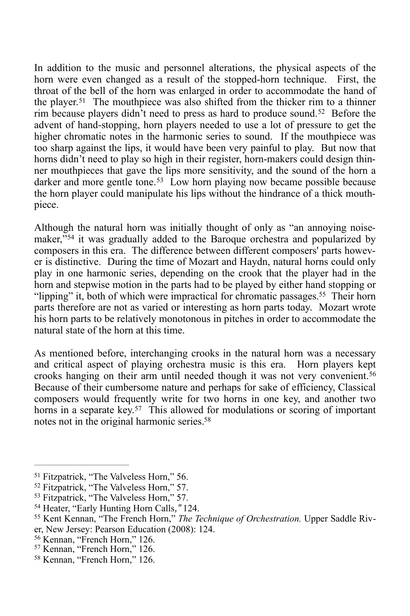<span id="page-8-9"></span><span id="page-8-8"></span>In addition to the music and personnel alterations, the physical aspects of the horn were even changed as a result of the stopped-horn technique. First, the throat of the bell of the horn was enlarged in order to accommodate the hand of the player.<sup>[51](#page-8-0)</sup> The mouthpiece was also shifted from the thicker rim to a thinner rimbecause players didn't need to press as hard to produce sound.<sup>[52](#page-8-1)</sup> Before the advent of hand-stopping, horn players needed to use a lot of pressure to get the higher chromatic notes in the harmonic series to sound. If the mouthpiece was too sharp against the lips, it would have been very painful to play. But now that horns didn't need to play so high in their register, horn-makers could design thinner mouthpieces that gave the lips more sensitivity, and the sound of the horn a darkerand more gentle tone.<sup>[53](#page-8-2)</sup> Low horn playing now became possible because the horn player could manipulate his lips without the hindrance of a thick mouthpiece.

<span id="page-8-11"></span><span id="page-8-10"></span>Although the natural horn was initially thought of only as "an annoying noise-maker,"<sup>[54](#page-8-3)</sup> it was gradually added to the Baroque orchestra and popularized by composers in this era. The difference between different composers' parts however is distinctive. During the time of Mozart and Haydn, natural horns could only play in one harmonic series, depending on the crook that the player had in the horn and stepwise motion in the parts had to be played by either hand stopping or "lipping" it, both of which were impractical for chromatic passages[.](#page-8-4)<sup>[55](#page-8-4)</sup> Their horn parts therefore are not as varied or interesting as horn parts today. Mozart wrote his horn parts to be relatively monotonous in pitches in order to accommodate the natural state of the horn at this time.

<span id="page-8-13"></span><span id="page-8-12"></span>As mentioned before, interchanging crooks in the natural horn was a necessary and critical aspect of playing orchestra music is this era. Horn players kept crooks hanging on their arm until needed though it was not very convenient.[56](#page-8-5) Because of their cumbersome nature and perhaps for sake of efficiency, Classical composers would frequently write for two horns in one key, and another two horns in a separate key.<sup>[57](#page-8-6)</sup> This allowed for modulations or scoring of important notes not in the original harmonic series[.58](#page-8-7)

<span id="page-8-15"></span><span id="page-8-14"></span><span id="page-8-0"></span><sup>&</sup>lt;sup>[51](#page-8-8)</sup> Fitzpatrick, "The Valveless Horn," 56.

<span id="page-8-1"></span><sup>&</sup>lt;sup>[52](#page-8-9)</sup> Fitzpatrick, "The Valveless Horn," 57.

<span id="page-8-2"></span><sup>&</sup>lt;sup>[53](#page-8-10)</sup> Fitzpatrick, "The Valveless Horn," 57.

<span id="page-8-3"></span><sup>&</sup>lt;sup>[54](#page-8-11)</sup> Heater, "Early Hunting Horn Calls," 124.

<span id="page-8-4"></span><sup>&</sup>lt;sup>[55](#page-8-12)</sup> Kent Kennan, "The French Horn," *The Technique of Orchestration*. Upper Saddle River, New Jersey: Pearson Education (2008): 124.

<span id="page-8-5"></span><sup>&</sup>lt;sup>[56](#page-8-13)</sup> Kennan, "French Horn," 126.

<span id="page-8-6"></span><sup>&</sup>lt;sup>[57](#page-8-14)</sup> Kennan, "French Horn," 126.

<span id="page-8-7"></span>[<sup>58</sup>](#page-8-15) Kennan, "French Horn," 126.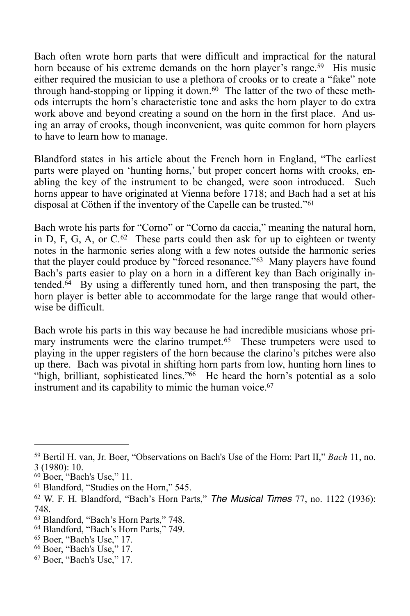<span id="page-9-10"></span><span id="page-9-9"></span>Bach often wrote horn parts that were difficult and impractical for the natural horn because of his extreme demands on the horn player's range[.](#page-9-0)<sup>[59](#page-9-0)</sup> His music either required the musician to use a plethora of crooks or to create a "fake" note through hand-stopping or lipping it down.<sup>60</sup> The latter of the two of these methods interrupts the horn's characteristic tone and asks the horn player to do extra work above and beyond creating a sound on the horn in the first place. And using an array of crooks, though inconvenient, was quite common for horn players to have to learn how to manage.

Blandford states in his article about the French horn in England, "The earliest parts were played on 'hunting horns,' but proper concert horns with crooks, enabling the key of the instrument to be changed, were soon introduced. Such horns appear to have originated at Vienna before 1718; and Bach had a set at his disposal at Cöthen if the inventory of the Capelle can be trusted."[61](#page-9-2)

<span id="page-9-13"></span><span id="page-9-12"></span><span id="page-9-11"></span>Bach wrote his parts for "Corno" or "Corno da caccia," meaning the natural horn, inD, F, G, A, or  $C^{62}$  $C^{62}$  $C^{62}$  These parts could then ask for up to eighteen or twenty notes in the harmonic series along with a few notes outside the harmonic series that the player could produce by "forced resonance."<sup>[63](#page-9-4)</sup> Many players have found Bach's parts easier to play on a horn in a different key than Bach originally in-tended[.](#page-9-5) $64$  By using a differently tuned horn, and then transposing the part, the horn player is better able to accommodate for the large range that would otherwise be difficult.

<span id="page-9-17"></span><span id="page-9-16"></span><span id="page-9-15"></span><span id="page-9-14"></span>Bach wrote his parts in this way because he had incredible musicians whose pri-maryinstruments were the clarino trumpet.<sup>[65](#page-9-6)</sup> These trumpeters were used to playing in the upper registers of the horn because the clarino's pitches were also up there. Bach was pivotal in shifting horn parts from low, hunting horn lines to "high, brilliant, sophisticated lines." $66$  He heard the horn's potential as a solo instrument and its capability to mimic the human voice.<sup>67</sup>

- <span id="page-9-5"></span><sup>[64](#page-9-14)</sup> Blandford, "Bach's Horn Parts," 749.
- <sup>[65](#page-9-15)</sup> Boer, "Bach's Use," 17.
- <span id="page-9-7"></span><span id="page-9-6"></span><sup>[66](#page-9-16)</sup> Boer, "Bach's Use," 17.
- <span id="page-9-8"></span><sup>[67](#page-9-17)</sup> Boer, "Bach's Use," 17.

<span id="page-9-0"></span><sup>&</sup>lt;sup>[59](#page-9-9)</sup> Bertil H. van, Jr. Boer, "Observations on Bach's Use of the Horn: Part II," *Bach* 11, no. 3 (1980): 10.

<span id="page-9-1"></span> $60$  Boer, "Bach's Use," 11.

<span id="page-9-2"></span> $61$  Blandford, "Studies on the Horn," 545.

<span id="page-9-3"></span><sup>&</sup>lt;sup>[62](#page-9-12)</sup> W. F. H. Blandford, "Bach's Horn Parts," *The Musical Times 77*, no. 1122 (1936): 748.

<span id="page-9-4"></span><sup>&</sup>lt;sup>[63](#page-9-13)</sup> Blandford, "Bach's Horn Parts," 748.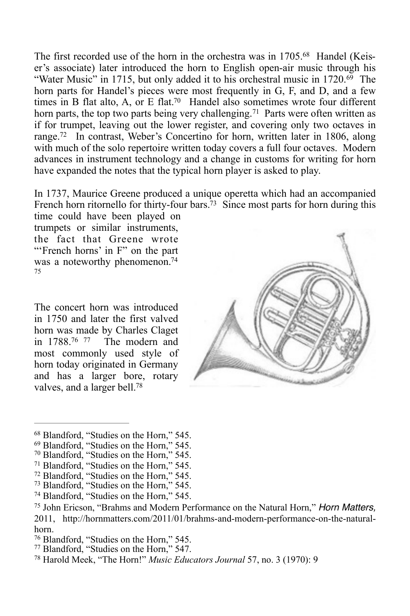The first recorded use of the horn in the orchestra was in  $1705<sup>68</sup>$  Handel (Keiser's associate) later introduced the horn to English open-air music through his "Water Music" in 1715, but only added it to his orchestral music in  $1720.69$  $1720.69$  The horn parts for Handel's pieces were most frequently in G, F, and D, and a few times in B flat alto, A, or E flat.<sup>[70](#page-10-2)</sup> Handel also sometimes wrote four different horn parts, the top two parts being very challenging.<sup>[71](#page-10-3)</sup> Parts were often written as if for trumpet, leaving out the lower register, and covering only two octaves in range[.](#page-10-4)<sup>[72](#page-10-4)</sup> In contrast, Weber's Concertino for horn, written later in 1806, along with much of the solo repertoire written today covers a full four octaves. Modern advances in instrument technology and a change in customs for writing for horn have expanded the notes that the typical horn player is asked to play.

<span id="page-10-15"></span>In 1737, Maurice Greene produced a unique operetta which had an accompanied French horn ritornello for thirty-four bars.<sup>73</sup> Since most parts for horn during this

time could have been played on trumpets or similar instruments, the fact that Greene wrote "'French horns' in F" on the part was a noteworthy phenomenon.<sup>74</sup> [75](#page-10-7)

<span id="page-10-20"></span><span id="page-10-19"></span><span id="page-10-18"></span>The concert horn was introduced in 1750 and later the first valved horn was made by Charles Claget in  $1788^{76}$  $1788^{76}$  $1788^{76}$  77 The modern and most commonly used style of horn today originated in Germany and has a larger bore, rotary valves, and a larger bell[.78](#page-10-10)

<span id="page-10-17"></span><span id="page-10-16"></span><span id="page-10-14"></span><span id="page-10-13"></span><span id="page-10-12"></span><span id="page-10-11"></span>

- <span id="page-10-2"></span><span id="page-10-1"></span><sup>[70](#page-10-13)</sup> Blandford, "Studies on the Horn," 545.
- <sup>[71](#page-10-14)</sup> Blandford, "Studies on the Horn," 545.
- <span id="page-10-4"></span><span id="page-10-3"></span><sup>[72](#page-10-15)</sup> Blandford, "Studies on the Horn," 545.
- <span id="page-10-5"></span><sup>[73](#page-10-16)</sup> Blandford, "Studies on the Horn," 545.
- <span id="page-10-6"></span><sup>[74](#page-10-17)</sup> Blandford, "Studies on the Horn," 545.

- <sup>[76](#page-10-19)</sup> Blandford, "Studies on the Horn," 545.
- <span id="page-10-8"></span><sup>[77](#page-10-20)</sup> Blandford, "Studies on the Horn," 547.

<span id="page-10-21"></span><span id="page-10-0"></span><sup>&</sup>lt;sup>[68](#page-10-11)</sup> Blandford, "Studies on the Horn," 545.

<sup>&</sup>lt;sup>[69](#page-10-12)</sup> Blandford, "Studies on the Horn," 545.

<span id="page-10-7"></span><sup>&</sup>lt;sup>[75](#page-10-18)</sup> John Ericson, "Brahms and Modern Performance on the Natural Horn," *Horn Matters,* 2011, http://hornmatters.com/2011/01/brahms-and-modern-performance-on-the-naturalhorn.

<span id="page-10-10"></span><span id="page-10-9"></span><sup>&</sup>lt;sup>[78](#page-10-21)</sup> Harold Meek, "The Horn!" *Music Educators Journal* 57, no. 3 (1970): 9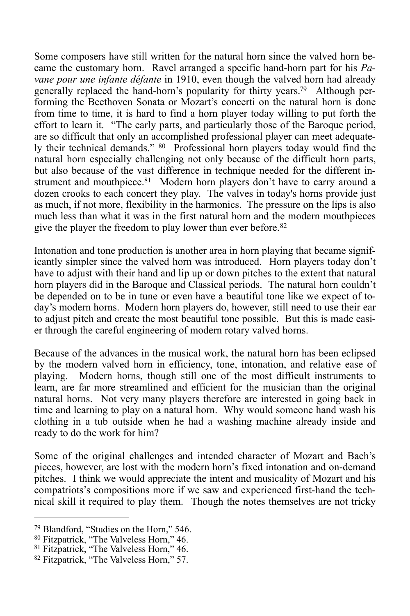<span id="page-11-5"></span><span id="page-11-4"></span>Some composers have still written for the natural horn since the valved horn became the customary horn. Ravel arranged a specific hand-horn part for his *Pavane pour une infante défante* in 1910, even though the valved horn had already generally replaced the hand-horn's popularity for thirty years.<sup>79</sup> Although performing the Beethoven Sonata or Mozart's concerti on the natural horn is done from time to time, it is hard to find a horn player today willing to put forth the effort to learn it. "The early parts, and particularly those of the Baroque period, are so difficult that only an accomplished professional player can meet adequately their technical demands."  $80$  Professional horn players today would find the natural horn especially challenging not only because of the difficult horn parts, but also because of the vast difference in technique needed for the different in-strument and mouthpiece[.](#page-11-2)<sup>[81](#page-11-2)</sup> Modern horn players don't have to carry around a dozen crooks to each concert they play. The valves in today's horns provide just as much, if not more, flexibility in the harmonics. The pressure on the lips is also much less than what it was in the first natural horn and the modern mouthpieces give the player the freedom to play lower than ever before.<sup>[82](#page-11-3)</sup>

<span id="page-11-7"></span><span id="page-11-6"></span>Intonation and tone production is another area in horn playing that became significantly simpler since the valved horn was introduced. Horn players today don't have to adjust with their hand and lip up or down pitches to the extent that natural horn players did in the Baroque and Classical periods. The natural horn couldn't be depended on to be in tune or even have a beautiful tone like we expect of today's modern horns. Modern horn players do, however, still need to use their ear to adjust pitch and create the most beautiful tone possible. But this is made easier through the careful engineering of modern rotary valved horns.

Because of the advances in the musical work, the natural horn has been eclipsed by the modern valved horn in efficiency, tone, intonation, and relative ease of playing. Modern horns, though still one of the most difficult instruments to learn, are far more streamlined and efficient for the musician than the original natural horns. Not very many players therefore are interested in going back in time and learning to play on a natural horn. Why would someone hand wash his clothing in a tub outside when he had a washing machine already inside and ready to do the work for him?

Some of the original challenges and intended character of Mozart and Bach's pieces, however, are lost with the modern horn's fixed intonation and on-demand pitches. I think we would appreciate the intent and musicality of Mozart and his compatriots's compositions more if we saw and experienced first-hand the technical skill it required to play them. Though the notes themselves are not tricky

<span id="page-11-0"></span><sup>&</sup>lt;sup>[79](#page-11-4)</sup> Blandford, "Studies on the Horn," 546.

<span id="page-11-1"></span><sup>&</sup>lt;sup>80</sup>Fitzpatrick, "The Valveless Horn," 46.

<span id="page-11-2"></span><sup>&</sup>lt;sup>[81](#page-11-6)</sup> Fitzpatrick, "The Valveless Horn," 46.

<span id="page-11-3"></span><sup>&</sup>lt;sup>[82](#page-11-7)</sup> Fitzpatrick, "The Valveless Horn," 57.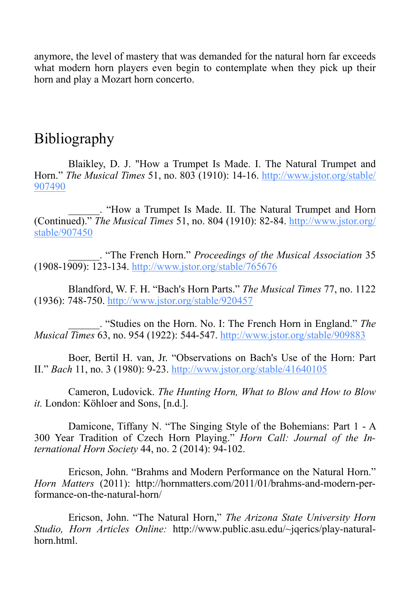anymore, the level of mastery that was demanded for the natural horn far exceeds what modern horn players even begin to contemplate when they pick up their horn and play a Mozart horn concerto.

## Bibliography

Blaikley, D. J. "How a Trumpet Is Made. I. The Natural Trumpet and Horn." *The Musical Times* [51, no. 803 \(1910\): 14-16. http://www.jstor.org/stable/](http://www.jstor.org/stable/907490) 907490

\_\_\_\_\_\_. "How a Trumpet Is Made. II. The Natural Trumpet and Horn (Continued)." *The Musical Times* [51, no. 804 \(1910\): 82-84. http://www.jstor.org/](http://www.jstor.org/stable/907450) stable/907450

\_\_\_\_\_\_. "The French Horn." *Proceedings of the Musical Association* 35 (1908-1909): 123-134. <http://www.jstor.org/stable/765676>

Blandford, W. F. H. "Bach's Horn Parts." *The Musical Times* 77, no. 1122 (1936): 748-750.<http://www.jstor.org/stable/920457>

\_\_\_\_\_\_. "Studies on the Horn. No. I: The French Horn in England." *The Musical Times* 63, no. 954 (1922): 544-547.<http://www.jstor.org/stable/909883>

Boer, Bertil H. van, Jr. "Observations on Bach's Use of the Horn: Part II." *Bach* 11, no. 3 (1980): 9-23. <http://www.jstor.org/stable/41640105>

Cameron, Ludovick. *The Hunting Horn, What to Blow and How to Blow it.* London: Köhloer and Sons, [n.d.].

Damicone, Tiffany N. "The Singing Style of the Bohemians: Part 1 - A 300 Year Tradition of Czech Horn Playing." *Horn Call: Journal of the International Horn Society* 44, no. 2 (2014): 94-102.

Ericson, John. "Brahms and Modern Performance on the Natural Horn." *Horn Matters* (2011): http://hornmatters.com/2011/01/brahms-and-modern-performance-on-the-natural-horn/

Ericson, John. "The Natural Horn," *The Arizona State University Horn Studio, Horn Articles Online:* http://www.public.asu.edu/~jqerics/play-naturalhorn.html.